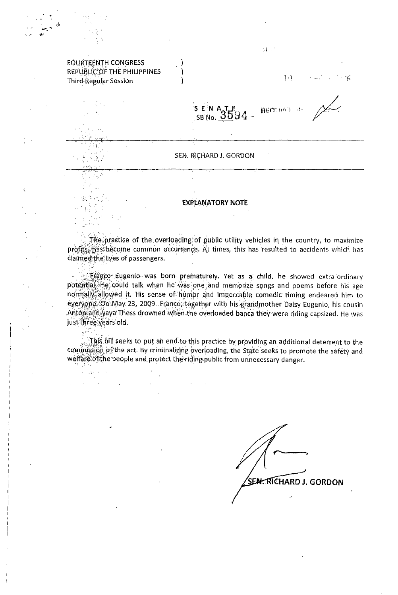|                                                                                    | 211                                                                                                                                                                                 |  |  |
|------------------------------------------------------------------------------------|-------------------------------------------------------------------------------------------------------------------------------------------------------------------------------------|--|--|
| <b>FOURTEENTH CONGRESS</b><br>REPUBLIC OF THE PHILIPPINES<br>Third Regular Session | $\left\{ \left\{ \tau \right\} \right\}$<br>$\mathcal{D}^{\mathcal{A}} = \mathcal{D}^{\mathcal{A}} \mathcal{D}^{\mathcal{A}} = \mathcal{D}^{\mathcal{A}} \mathcal{D}^{\mathcal{A}}$ |  |  |
|                                                                                    | SEIN ATLE 94 - MECHAN RES                                                                                                                                                           |  |  |
|                                                                                    |                                                                                                                                                                                     |  |  |
|                                                                                    | SEN. RICHARD J. GORDON                                                                                                                                                              |  |  |
|                                                                                    |                                                                                                                                                                                     |  |  |
|                                                                                    | <b>FYPLANATORY NOTE</b>                                                                                                                                                             |  |  |

The practice of the overloading of public utility vehicles in the country, to maximize profits, has become common occurrence. At times, this has resulted to accidents which has claimed the lives of passengers.

s Franco Eugenio was born prematurely. Yet as a child, he showed extra-ordinary potential. He could talk when he was one and memorize songs and poems before his age normally allowed it. His sense of humor and impeccable comedic timing endeared him to everyone. On May 23, 2009. Franco, together with his grandmother Daisy Eugenio, his cousin Anton and yaya Thess drowned when the overloaded banca they were riding capsized. He was just three years old.

This bill seeks to put an end to this practice by providing an additional deterrent to the commission of the act. By criminalizing overloading, the State seeks to promote the safety and welfare of the people and protect the riding public from unnecessary danger.

 $\omega = \frac{1}{2} \frac{1}{2} \omega^2$  , where

 $\sim 10^{-11}$ 

 $\alpha = \sqrt{2}$ 

SEN. RÍCHARD J. GORDON